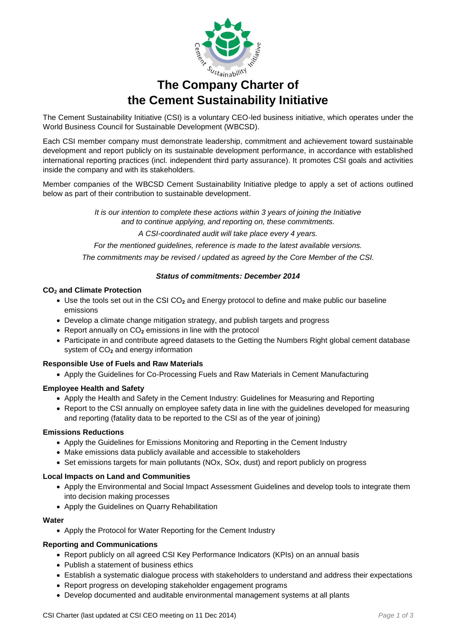

# **The Company Charter of the Cement Sustainability Initiative**

The Cement Sustainability Initiative (CSI) is a voluntary CEO-led business initiative, which operates under the World Business Council for Sustainable Development (WBCSD).

Each CSI member company must demonstrate leadership, commitment and achievement toward sustainable development and report publicly on its sustainable development performance, in accordance with established international reporting practices (incl. independent third party assurance). It promotes CSI goals and activities inside the company and with its stakeholders.

Member companies of the WBCSD Cement Sustainability Initiative pledge to apply a set of actions outlined below as part of their contribution to sustainable development.

> *It is our intention to complete these actions within 3 years of joining the Initiative and to continue applying, and reporting on, these commitments.*

> > *A CSI-coordinated audit will take place every 4 years.*

*For the mentioned guidelines, reference is made to the latest available versions.*

*The commitments may be revised / updated as agreed by the Core Member of the CSI.* 

# *Status of commitments: December 2014*

## **CO<sup>2</sup> and Climate Protection**

- Use the tools set out in the CSI CO**<sup>2</sup>** and Energy protocol to define and make public our baseline emissions
- Develop a climate change mitigation strategy, and publish targets and progress
- Report annually on CO**<sup>2</sup>** emissions in line with the protocol
- Participate in and contribute agreed datasets to the Getting the Numbers Right global cement database system of CO**<sup>2</sup>** and energy information

# **Responsible Use of Fuels and Raw Materials**

Apply the Guidelines for Co-Processing Fuels and Raw Materials in Cement Manufacturing

# **Employee Health and Safety**

- Apply the Health and Safety in the Cement Industry: Guidelines for Measuring and Reporting
- Report to the CSI annually on employee safety data in line with the guidelines developed for measuring and reporting (fatality data to be reported to the CSI as of the year of joining)

#### **Emissions Reductions**

- Apply the Guidelines for Emissions Monitoring and Reporting in the Cement Industry
- Make emissions data publicly available and accessible to stakeholders
- Set emissions targets for main pollutants (NOx, SOx, dust) and report publicly on progress

# **Local Impacts on Land and Communities**

- Apply the Environmental and Social Impact Assessment Guidelines and develop tools to integrate them into decision making processes
- Apply the Guidelines on Quarry Rehabilitation

#### **Water**

Apply the Protocol for Water Reporting for the Cement Industry

# **Reporting and Communications**

- Report publicly on all agreed CSI Key Performance Indicators (KPIs) on an annual basis
- Publish a statement of business ethics
- Establish a systematic dialogue process with stakeholders to understand and address their expectations
- Report progress on developing stakeholder engagement programs
- Develop documented and auditable environmental management systems at all plants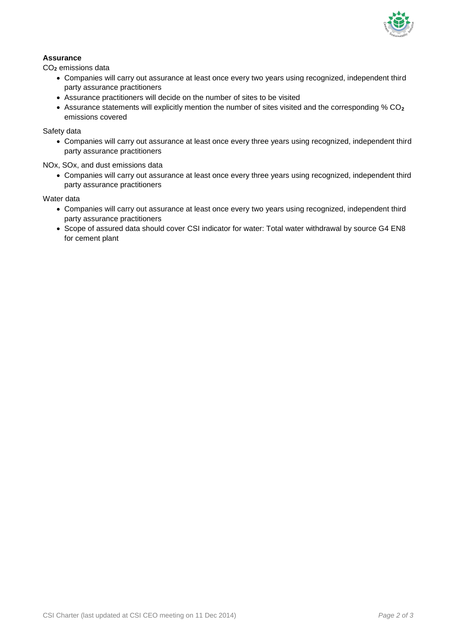

# **Assurance**

CO**<sup>2</sup>** emissions data

- Companies will carry out assurance at least once every two years using recognized, independent third party assurance practitioners
- Assurance practitioners will decide on the number of sites to be visited
- Assurance statements will explicitly mention the number of sites visited and the corresponding % CO**<sup>2</sup>** emissions covered

Safety data

 Companies will carry out assurance at least once every three years using recognized, independent third party assurance practitioners

NOx, SOx, and dust emissions data

 Companies will carry out assurance at least once every three years using recognized, independent third party assurance practitioners

Water data

- Companies will carry out assurance at least once every two years using recognized, independent third party assurance practitioners
- Scope of assured data should cover CSI indicator for water: Total water withdrawal by source G4 EN8 for cement plant